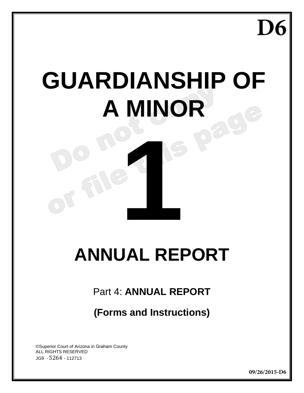**D6**

# **GUARDIANSHIP OF A MINOR**

## **ANNUAL REPORT**

16

## Part 4: **ANNUAL REPORT**

## **(Forms and Instructions)**

©Superior Court of Arizona in Graham County ALL RIGHTS RESERVED JG9 - 5264 - 112713

**09/26/2015-D6**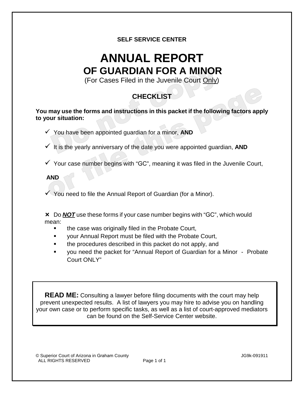#### **SELF SERVICE CENTER**

## **ANNUAL REPORT OF GUARDIAN FOR A MINOR**

(For Cases Filed in the Juvenile Court Only)

## **CHECKLIST**

**You may use the forms and instructions in this packet if the following factors apply to your situation:**

- You have been appointed guardian for a minor, **AND**
- $\checkmark$  It is the yearly anniversary of the date you were appointed guardian, **AND**
- $\checkmark$  Your case number begins with "GC", meaning it was filed in the Juvenile Court,

#### **AND**

 $\checkmark$  You need to file the Annual Report of Guardian (for a Minor).

 Do *NOT* use these forms if your case number begins with "GC", which would mean:

- the case was originally filed in the Probate Court,
- your Annual Report must be filed with the Probate Court,
- the procedures described in this packet do not apply, and
- you need the packet for "Annual Report of Guardian for a Minor Probate Court ONLY"

**READ ME:** Consulting a lawyer before filing documents with the court may help prevent unexpected results. A list of lawyers you may hire to advise you on handling your own case or to perform specific tasks, as well as a list of court-approved mediators can be found on the Self-Service Center website.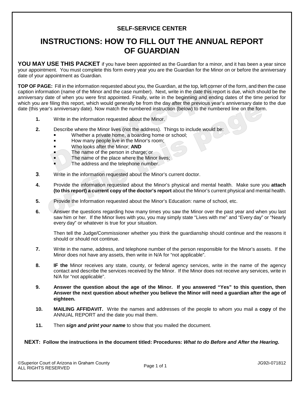#### **SELF-SERVICE CENTER**

### **INSTRUCTIONS: HOW TO FILL OUT THE ANNUAL REPORT OF GUARDIAN**

YOU MAY USE THIS PACKET if you have been appointed as the Guardian for a minor, and it has been a year since your appointment. You must complete this form every year you are the Guardian for the Minor on or before the anniversary date of your appointment as Guardian.

**TOP OF PAGE:** Fill in the information requested about you, the Guardian, at the top, left corner of the form, and then the case caption information (name of the Minor and the case number). Next, write in the date this report is due, which should be the anniversary date of when you were first appointed. Finally, write in the beginning and ending dates of the time period for which you are filing this report, which would generally be from the day after the previous year's anniversary date to the due date (this year's anniversary date). Now match the numbered instruction (below) to the numbered line on the form.

- **1.** Write in the information requested about the Minor.
- **2.** Describe where the Minor lives (not the address). Things to include would be:
	- Whether a private home, a boarding home or school;
	- How many people live in the Minor's room;
	- Who looks after the Minor; **AND**
	- The name of the person in charge; or
	- $\blacksquare$  The name of the place where the Minor lives;
		- The address and the telephone number.
- **3**. Write in the information requested about the Minor's current doctor.
- **4.** Provide the information requested about the Minor's physical and mental health. Make sure you **attach (to this report) a current copy of the doctor's report** about the Minor's current physical and mental health.
- **5.** Provide the Information requested about the Minor's Education: name of school, etc.
- **6.** Answer the questions regarding how many times you saw the Minor over the past year and when you last saw him or her. If the Minor lives with you, you may simply state "Lives with me" and "Every day" or "Nearly every day" or whatever is true for your situation.

Then tell the Judge/Commissioner whether you think the guardianship should continue and the reasons it should or should not continue.

- **7.** Write in the name, address, and telephone number of the person responsible for the Minor's assets. If the Minor does not have any assets, then write in N/A for "not applicable".
- **8. IF the** Minor receives any state, county, or federal agency services, write in the name of the agency contact and describe the services received by the Minor. If the Minor does not receive any services, write in N/A for "not applicable".
- **9. Answer the question about the age of the Minor. If you answered "Yes" to this question, then Answer the next question about whether you believe the Minor will need a guardian after the age of eighteen.**
- **10. MAILING AFFIDAVIT.** Write the names and addresses of the people to whom you mail a **copy** of the ANNUAL REPORT and the date you mail them.
- **11.** Then *sign and print your name* to show that you mailed the document.

#### **NEXT: Follow the instructions in the document titled: Procedures:** *What to do Before and After the Hearing.*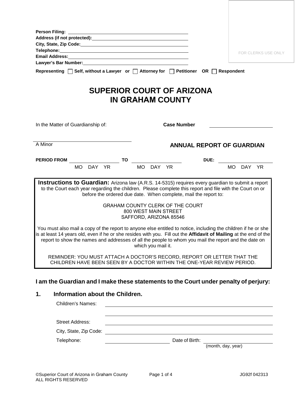| <b>Person Filing:</b><br>Telephone: www.astronomia.com/www.astronomia.com/www.astronomia.com/www.astronomia.com/                                                                                                                                                                                                                            |                                         |                    |                                                |                                                                                                                        | <b>FOR CLERKS USE ONLY</b>       |
|---------------------------------------------------------------------------------------------------------------------------------------------------------------------------------------------------------------------------------------------------------------------------------------------------------------------------------------------|-----------------------------------------|--------------------|------------------------------------------------|------------------------------------------------------------------------------------------------------------------------|----------------------------------|
| Lawyer's Bar Number: Management and the state of the state of the state of the state of the state of the state of the state of the state of the state of the state of the state of the state of the state of the state of the<br>Representing $\Box$ Self, without a Lawyer or $\Box$ Attorney for $\Box$ Petitioner OR $\Box$ Respondent   |                                         |                    |                                                |                                                                                                                        |                                  |
|                                                                                                                                                                                                                                                                                                                                             |                                         |                    |                                                |                                                                                                                        |                                  |
|                                                                                                                                                                                                                                                                                                                                             | <b>SUPERIOR COURT OF ARIZONA</b>        |                    | <b>IN GRAHAM COUNTY</b>                        |                                                                                                                        |                                  |
| In the Matter of Guardianship of:                                                                                                                                                                                                                                                                                                           |                                         |                    | <b>Case Number</b>                             |                                                                                                                        |                                  |
| A Minor                                                                                                                                                                                                                                                                                                                                     |                                         |                    |                                                |                                                                                                                        | <b>ANNUAL REPORT OF GUARDIAN</b> |
| <b>PERIOD FROM</b>                                                                                                                                                                                                                                                                                                                          | <b>TO</b>                               |                    |                                                | DUE:                                                                                                                   |                                  |
| MO DAY YR                                                                                                                                                                                                                                                                                                                                   |                                         | MO DAY YR          |                                                |                                                                                                                        | MO DAY<br><b>YR</b>              |
| <b>Instructions to Guardian:</b> Arizona law (A.R.S. 14-5315) requires every guardian to submit a report<br>to the Court each year regarding the children. Please complete this report and file with the Court on or                                                                                                                        |                                         |                    |                                                | before the ordered due date. When complete, mail the report to:                                                        |                                  |
|                                                                                                                                                                                                                                                                                                                                             | <b>GRAHAM COUNTY CLERK OF THE COURT</b> |                    | 800 WEST MAIN STREET<br>SAFFORD, ARIZONA 85546 |                                                                                                                        |                                  |
| You must also mail a copy of the report to anyone else entitled to notice, including the children if he or she<br>is at least 14 years old, even if he or she resides with you. Fill out the Affidavit of Mailing at the end of the<br>report to show the names and addresses of all the people to whom you mail the report and the date on |                                         | which you mail it. |                                                |                                                                                                                        |                                  |
| REMINDER: YOU MUST ATTACH A DOCTOR'S RECORD, REPORT OR LETTER THAT THE<br>CHILDREN HAVE BEEN SEEN BY A DOCTOR WITHIN THE ONE-YEAR REVIEW PERIOD.                                                                                                                                                                                            |                                         |                    |                                                |                                                                                                                        |                                  |
|                                                                                                                                                                                                                                                                                                                                             |                                         |                    |                                                |                                                                                                                        |                                  |
| I am the Guardian and I make these statements to the Court under penalty of perjury:<br>Information about the Children.                                                                                                                                                                                                                     |                                         |                    |                                                |                                                                                                                        |                                  |
| 1.<br><b>Children's Names:</b>                                                                                                                                                                                                                                                                                                              |                                         |                    |                                                |                                                                                                                        |                                  |
| <b>Street Address:</b>                                                                                                                                                                                                                                                                                                                      |                                         |                    |                                                | <u> 1989 - Johann Stoff, deutscher Stoff, der Stoff, der Stoff, der Stoff, der Stoff, der Stoff, der Stoff, der S</u>  |                                  |
| City, State, Zip Code:                                                                                                                                                                                                                                                                                                                      |                                         |                    |                                                | <u> 2008 - An Dùbhlachd ann an Dùbhlachd ann an Dùbhlachd ann an Dùbhlachd ann an Dùbhlachd ann an Dùbhlachd ann a</u> |                                  |
| Telephone:                                                                                                                                                                                                                                                                                                                                  |                                         |                    | Date of Birth:                                 |                                                                                                                        | (month, day, year)               |
|                                                                                                                                                                                                                                                                                                                                             |                                         |                    |                                                |                                                                                                                        |                                  |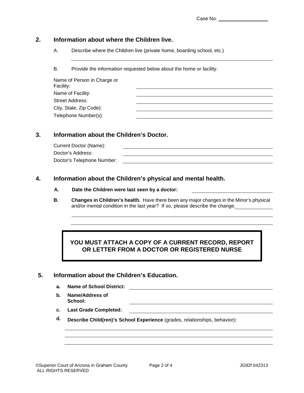#### **2. Information about where the Children live.**

A. Describe where the Children live (private home, boarding school, etc.)

B. Provide the information requested below about the home or facility.

| Name of Person in Charge or<br>Facility: |  |
|------------------------------------------|--|
| Name of Facility:                        |  |
| Street Address:                          |  |
| City, State, Zip Code):                  |  |
| Telephone Number(s):                     |  |

#### **3. Information about the Children's Doctor.**

Current Doctor (Name): Doctor's Address: Doctor's Telephone Number:

#### **4. Information about the Children's physical and mental health.**

#### **A. Date the Children were last seen by a doctor:**

**B. Changes in Children's health.** Have there been any major changes in the Minor's physical and/or mental condition in the last year? If so, please describe the change.

#### **YOU MUST ATTACH A COPY OF A CURRENT RECORD, REPORT OR LETTER FROM A DOCTOR OR REGISTERED NURSE**

#### **5. Information about the Children's Education.**

- **a. Name of School District:**
- **b. Name/Address of School:**
- **c. Last Grade Completed:**
- **d. Describe Child(ren)'s School Experience** (grades, relationships, behavior)**:**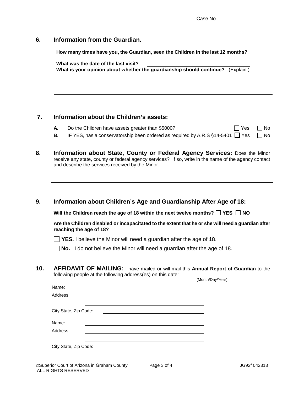#### **6. Information from the Guardian.**

**How many times have you, the Guardian, seen the Children in the last 12 months?**

|          | What was the date of the last visit?<br>What is your opinion about whether the guardianship should continue?<br>(Explain.)                            |                   |
|----------|-------------------------------------------------------------------------------------------------------------------------------------------------------|-------------------|
|          |                                                                                                                                                       |                   |
|          | Information about the Children's assets:                                                                                                              |                   |
| А.<br>В. | Do the Children have assets greater than \$5000?<br>Yes<br>IF YES, has a conservatorship been ordered as required by A.R.S $\S$ 14-5401 $\square$ Yes | l No<br>$\Box$ No |

**8. Information about State, County or Federal Agency Services:** Does the Minor receive any state, county or federal agency services? If so, write in the name of the agency contact and describe the services received by the Minor.

#### **9. Information about Children's Age and Guardianship After Age of 18:**

Will the Children reach the age of 18 within the next twelve months?  $\Box$  YES  $\Box$  NO

**Are the Children disabled or incapacitated to the extent that he or she will need a guardian after reaching the age of 18?**

**YES.** I believe the Minor will need a guardian after the age of 18.

**No.** I do not believe the Minor will need a guardian after the age of 18.

**10. AFFIDAVIT OF MAILING:** I have mailed or will mail this **Annual Report of Guardian** to the following people at the following address(es) on this date:

|                       | (Month/Day/Year) |
|-----------------------|------------------|
| Name:                 |                  |
| Address:              |                  |
|                       |                  |
| City State, Zip Code: |                  |
| Name:                 |                  |
| Address:              |                  |
|                       |                  |
| City State, Zip Code: |                  |
|                       |                  |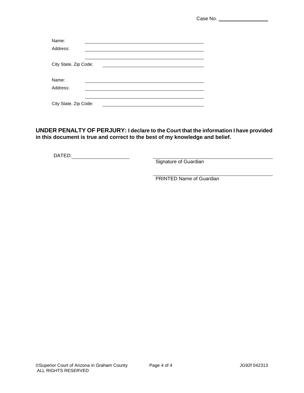Case No.

| Name:                 |  |  |  |  |  |  |
|-----------------------|--|--|--|--|--|--|
| Address:              |  |  |  |  |  |  |
|                       |  |  |  |  |  |  |
| City State, Zip Code: |  |  |  |  |  |  |
|                       |  |  |  |  |  |  |
| Name:                 |  |  |  |  |  |  |
| Address:              |  |  |  |  |  |  |
|                       |  |  |  |  |  |  |
| City State, Zip Code: |  |  |  |  |  |  |

**UNDER PENALTY OF PERJURY: I declare to the Court that the information I have provided in this document is true and correct to the best of my knowledge and belief.**

DATED:

Signature of Guardian

**PRINTED Name of Guardian**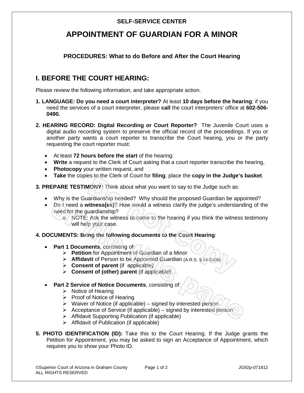#### **SELF-SERVICE CENTER**

#### **APPOINTMENT OF GUARDIAN FOR A MINOR**

#### **PROCEDURES: What to do Before and After the Court Hearing**

#### **I. BEFORE THE COURT HEARING:**

Please review the following information, and take appropriate action.

- **1. LANGUAGE: Do you need a court interpreter?** At least **10 days before the hearing**; if you need the services of a court interpreter, please **call** the court interpreters' office at **602-506- 0490.**
- **2. HEARING RECORD: Digital Recording or Court Reporter?** The Juvenile Court uses a digital audio recording system to preserve the official record of the proceedings. If you or another party wants a court reporter to transcribe the Court hearing, you or the party requesting the court reporter must:
	- At least **72 hours before the start** of the hearing:
	- **Write** a request to the Clerk of Court asking that a court reporter transcribe the hearing,
	- **Photocopy** your written request, and
	- **Take** the copies to the Clerk of Court for **filing**; place the **copy in the Judge's basket**.
- **3. PREPARE TESTIMONY:** Think about what you want to say to the Judge such as:
	- Why is the Guardianship needed? Why should the proposed Guardian be appointed?
	- Do I need a **witness(es)**? How would a witness clarify the judge's understanding of the need for the guardianship?
		- $\sigma$  NOTE: Ask the witness to come to the hearing if you think the witness testimony will help your case.
- **4. DOCUMENTS: Bring the following documents to the Court Hearing**:
	- **Part 1 Documents**, consisting of:
		- **Petition** for Appointment/of Guardian of a Minor
		- **Affidavit** of Person to be Appointed Guardian (A.R.S. § 14-5106)
		- $\triangleright$  **Consent of parent** (if applicable)
		- **Consent of (other) parent** (if applicable)
	- **Part 2 Service of Notice Documents**, consisting of:
		- $\triangleright$  Notice of Hearing
		- $\triangleright$  Proof of Notice of Hearing
		- $\triangleright$  Waiver of Notice (if applicable) signed by interested person
		- $\triangleright$  Acceptance of Service (if applicable) signed by interested person
		- $\triangleright$  Affidavit Supporting Publication (if applicable)
		- $\triangleright$  Affidavit of Publication (if applicable)
- **5. PHOTO IDENTIFICATION (ID):** Take this to the Court Hearing. If the Judge grants the Petition for Appointment, you may be asked to sign an Acceptance of Appointment, which requires you to show your Photo ID.